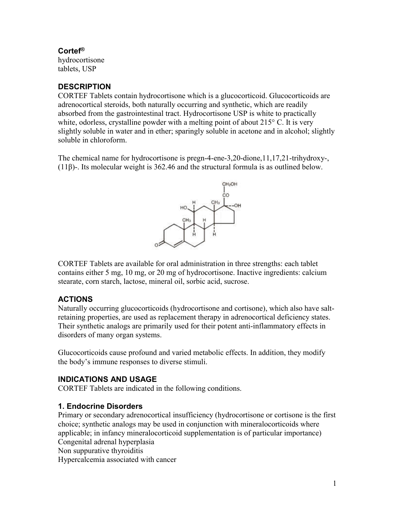# **Cortef®**

hydrocortisone tablets, USP

# **DESCRIPTION**

CORTEF Tablets contain hydrocortisone which is a glucocorticoid. Glucocorticoids are adrenocortical steroids, both naturally occurring and synthetic, which are readily absorbed from the gastrointestinal tract. Hydrocortisone USP is white to practically white, odorless, crystalline powder with a melting point of about 215° C. It is very slightly soluble in water and in ether; sparingly soluble in acetone and in alcohol; slightly soluble in chloroform.

The chemical name for hydrocortisone is pregn-4-ene-3,20-dione,11,17,21-trihydroxy-, ( $11\beta$ )-. Its molecular weight is 362.46 and the structural formula is as outlined below.



CORTEF Tablets are available for oral administration in three strengths: each tablet contains either 5 mg, 10 mg, or 20 mg of hydrocortisone. Inactive ingredients: calcium stearate, corn starch, lactose, mineral oil, sorbic acid, sucrose.

# **ACTIONS**

Naturally occurring glucocorticoids (hydrocortisone and cortisone), which also have saltretaining properties, are used as replacement therapy in adrenocortical deficiency states. Their synthetic analogs are primarily used for their potent anti-inflammatory effects in disorders of many organ systems.

Glucocorticoids cause profound and varied metabolic effects. In addition, they modify the body's immune responses to diverse stimuli.

# **INDICATIONS AND USAGE**

CORTEF Tablets are indicated in the following conditions.

# **1. Endocrine Disorders**

Primary or secondary adrenocortical insufficiency (hydrocortisone or cortisone is the first choice; synthetic analogs may be used in conjunction with mineralocorticoids where applicable; in infancy mineralocorticoid supplementation is of particular importance) Congenital adrenal hyperplasia Non suppurative thyroiditis Hypercalcemia associated with cancer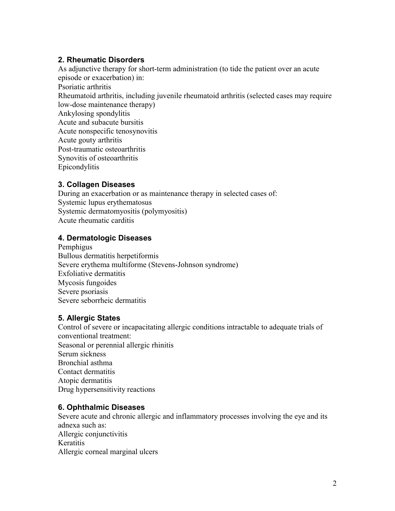## **2. Rheumatic Disorders**

As adjunctive therapy for short-term administration (to tide the patient over an acute episode or exacerbation) in: Psoriatic arthritis Rheumatoid arthritis, including juvenile rheumatoid arthritis (selected cases may require low-dose maintenance therapy) Ankylosing spondylitis Acute and subacute bursitis Acute nonspecific tenosynovitis Acute gouty arthritis Post-traumatic osteoarthritis Synovitis of osteoarthritis Epicondylitis

# **3. Collagen Diseases**

During an exacerbation or as maintenance therapy in selected cases of: Systemic lupus erythematosus Systemic dermatomyositis (polymyositis) Acute rheumatic carditis

## **4. Dermatologic Diseases**

Pemphigus Bullous dermatitis herpetiformis Severe erythema multiforme (Stevens-Johnson syndrome) Exfoliative dermatitis Mycosis fungoides Severe psoriasis Severe seborrheic dermatitis

## **5. Allergic States**

Control of severe or incapacitating allergic conditions intractable to adequate trials of conventional treatment: Seasonal or perennial allergic rhinitis Serum sickness Bronchial asthma Contact dermatitis Atopic dermatitis Drug hypersensitivity reactions

## **6. Ophthalmic Diseases**

Severe acute and chronic allergic and inflammatory processes involving the eye and its adnexa such as: Allergic conjunctivitis **Keratitis** Allergic corneal marginal ulcers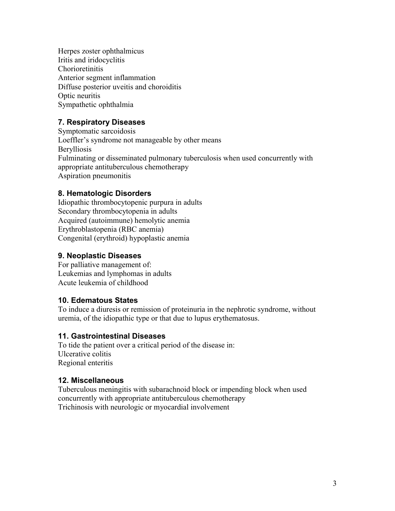Herpes zoster ophthalmicus Iritis and iridocyclitis Chorioretinitis Anterior segment inflammation Diffuse posterior uveitis and choroiditis Optic neuritis Sympathetic ophthalmia

## **7. Respiratory Diseases**

Symptomatic sarcoidosis Loeffler's syndrome not manageable by other means Berylliosis Fulminating or disseminated pulmonary tuberculosis when used concurrently with appropriate antituberculous chemotherapy Aspiration pneumonitis

## **8. Hematologic Disorders**

Idiopathic thrombocytopenic purpura in adults Secondary thrombocytopenia in adults Acquired (autoimmune) hemolytic anemia Erythroblastopenia (RBC anemia) Congenital (erythroid) hypoplastic anemia

## **9. Neoplastic Diseases**

For palliative management of: Leukemias and lymphomas in adults Acute leukemia of childhood

## **10. Edematous States**

To induce a diuresis or remission of proteinuria in the nephrotic syndrome, without uremia, of the idiopathic type or that due to lupus erythematosus.

## **11. Gastrointestinal Diseases**

To tide the patient over a critical period of the disease in: Ulcerative colitis Regional enteritis

## **12. Miscellaneous**

Tuberculous meningitis with subarachnoid block or impending block when used concurrently with appropriate antituberculous chemotherapy Trichinosis with neurologic or myocardial involvement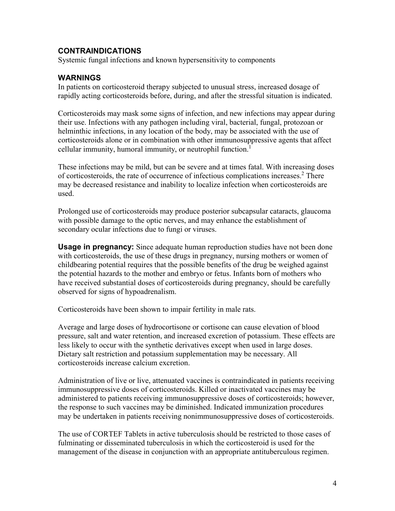## **CONTRAINDICATIONS**

Systemic fungal infections and known hypersensitivity to components

#### **WARNINGS**

In patients on corticosteroid therapy subjected to unusual stress, increased dosage of rapidly acting corticosteroids before, during, and after the stressful situation is indicated.

Corticosteroids may mask some signs of infection, and new infections may appear during their use. Infections with any pathogen including viral, bacterial, fungal, protozoan or helminthic infections, in any location of the body, may be associated with the use of corticosteroids alone or in combination with other immunosuppressive agents that affect cellular immunity, humoral immunity, or neutrophil function.<sup>1</sup>

These infections may be mild, but can be severe and at times fatal. With increasing doses of corticosteroids, the rate of occurrence of infectious complications increases.<sup>2</sup> There may be decreased resistance and inability to localize infection when corticosteroids are used.

Prolonged use of corticosteroids may produce posterior subcapsular cataracts, glaucoma with possible damage to the optic nerves, and may enhance the establishment of secondary ocular infections due to fungi or viruses.

**Usage in pregnancy:** Since adequate human reproduction studies have not been done with corticosteroids, the use of these drugs in pregnancy, nursing mothers or women of childbearing potential requires that the possible benefits of the drug be weighed against the potential hazards to the mother and embryo or fetus. Infants born of mothers who have received substantial doses of corticosteroids during pregnancy, should be carefully observed for signs of hypoadrenalism.

Corticosteroids have been shown to impair fertility in male rats.

Average and large doses of hydrocortisone or cortisone can cause elevation of blood pressure, salt and water retention, and increased excretion of potassium. These effects are less likely to occur with the synthetic derivatives except when used in large doses. Dietary salt restriction and potassium supplementation may be necessary. All corticosteroids increase calcium excretion.

Administration of live or live, attenuated vaccines is contraindicated in patients receiving immunosuppressive doses of corticosteroids. Killed or inactivated vaccines may be administered to patients receiving immunosuppressive doses of corticosteroids; however, the response to such vaccines may be diminished. Indicated immunization procedures may be undertaken in patients receiving nonimmunosuppressive doses of corticosteroids.

The use of CORTEF Tablets in active tuberculosis should be restricted to those cases of fulminating or disseminated tuberculosis in which the corticosteroid is used for the management of the disease in conjunction with an appropriate antituberculous regimen.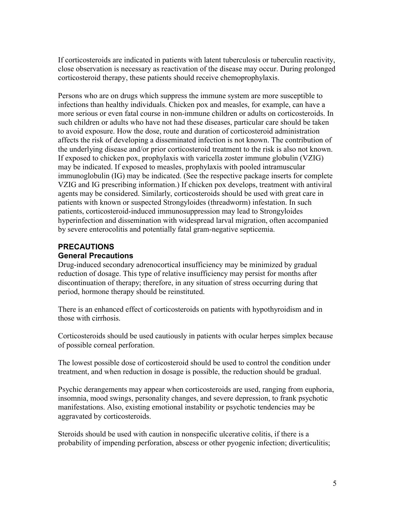If corticosteroids are indicated in patients with latent tuberculosis or tuberculin reactivity, close observation is necessary as reactivation of the disease may occur. During prolonged corticosteroid therapy, these patients should receive chemoprophylaxis.

Persons who are on drugs which suppress the immune system are more susceptible to infections than healthy individuals. Chicken pox and measles, for example, can have a more serious or even fatal course in non-immune children or adults on corticosteroids. In such children or adults who have not had these diseases, particular care should be taken to avoid exposure. How the dose, route and duration of corticosteroid administration affects the risk of developing a disseminated infection is not known. The contribution of the underlying disease and/or prior corticosteroid treatment to the risk is also not known. If exposed to chicken pox, prophylaxis with varicella zoster immune globulin (VZIG) may be indicated. If exposed to measles, prophylaxis with pooled intramuscular immunoglobulin (IG) may be indicated. (See the respective package inserts for complete VZIG and IG prescribing information.) If chicken pox develops, treatment with antiviral agents may be considered. Similarly, corticosteroids should be used with great care in patients with known or suspected Strongyloides (threadworm) infestation. In such patients, corticosteroid-induced immunosuppression may lead to Strongyloides hyperinfection and dissemination with widespread larval migration, often accompanied by severe enterocolitis and potentially fatal gram-negative septicemia.

# **PRECAUTIONS**

#### **General Precautions**

Drug-induced secondary adrenocortical insufficiency may be minimized by gradual reduction of dosage. This type of relative insufficiency may persist for months after discontinuation of therapy; therefore, in any situation of stress occurring during that period, hormone therapy should be reinstituted.

There is an enhanced effect of corticosteroids on patients with hypothyroidism and in those with cirrhosis.

Corticosteroids should be used cautiously in patients with ocular herpes simplex because of possible corneal perforation.

The lowest possible dose of corticosteroid should be used to control the condition under treatment, and when reduction in dosage is possible, the reduction should be gradual.

Psychic derangements may appear when corticosteroids are used, ranging from euphoria, insomnia, mood swings, personality changes, and severe depression, to frank psychotic manifestations. Also, existing emotional instability or psychotic tendencies may be aggravated by corticosteroids.

Steroids should be used with caution in nonspecific ulcerative colitis, if there is a probability of impending perforation, abscess or other pyogenic infection; diverticulitis;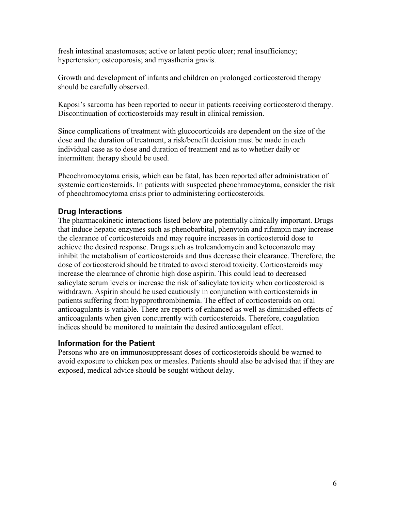fresh intestinal anastomoses; active or latent peptic ulcer; renal insufficiency; hypertension; osteoporosis; and myasthenia gravis.

Growth and development of infants and children on prolonged corticosteroid therapy should be carefully observed.

Kaposi's sarcoma has been reported to occur in patients receiving corticosteroid therapy. Discontinuation of corticosteroids may result in clinical remission.

Since complications of treatment with glucocorticoids are dependent on the size of the dose and the duration of treatment, a risk/benefit decision must be made in each individual case as to dose and duration of treatment and as to whether daily or intermittent therapy should be used.

Pheochromocytoma crisis, which can be fatal, has been reported after administration of systemic corticosteroids. In patients with suspected pheochromocytoma, consider the risk of pheochromocytoma crisis prior to administering corticosteroids.

#### **Drug Interactions**

The pharmacokinetic interactions listed below are potentially clinically important. Drugs that induce hepatic enzymes such as phenobarbital, phenytoin and rifampin may increase the clearance of corticosteroids and may require increases in corticosteroid dose to achieve the desired response. Drugs such as troleandomycin and ketoconazole may inhibit the metabolism of corticosteroids and thus decrease their clearance. Therefore, the dose of corticosteroid should be titrated to avoid steroid toxicity. Corticosteroids may increase the clearance of chronic high dose aspirin. This could lead to decreased salicylate serum levels or increase the risk of salicylate toxicity when corticosteroid is withdrawn. Aspirin should be used cautiously in conjunction with corticosteroids in patients suffering from hypoprothrombinemia. The effect of corticosteroids on oral anticoagulants is variable. There are reports of enhanced as well as diminished effects of anticoagulants when given concurrently with corticosteroids. Therefore, coagulation indices should be monitored to maintain the desired anticoagulant effect.

#### **Information for the Patient**

Persons who are on immunosuppressant doses of corticosteroids should be warned to avoid exposure to chicken pox or measles. Patients should also be advised that if they are exposed, medical advice should be sought without delay.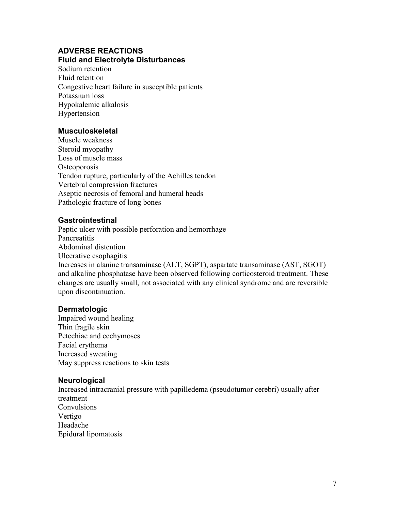#### **ADVERSE REACTIONS Fluid and Electrolyte Disturbances**

Sodium retention Fluid retention Congestive heart failure in susceptible patients Potassium loss Hypokalemic alkalosis Hypertension

## **Musculoskeletal**

Muscle weakness Steroid myopathy Loss of muscle mass **Osteoporosis** Tendon rupture, particularly of the Achilles tendon Vertebral compression fractures Aseptic necrosis of femoral and humeral heads Pathologic fracture of long bones

## **Gastrointestinal**

Peptic ulcer with possible perforation and hemorrhage **Pancreatitis** Abdominal distention Ulcerative esophagitis Increases in alanine transaminase (ALT, SGPT), aspartate transaminase (AST, SGOT) and alkaline phosphatase have been observed following corticosteroid treatment. These changes are usually small, not associated with any clinical syndrome and are reversible upon discontinuation.

#### **Dermatologic**

Impaired wound healing Thin fragile skin Petechiae and ecchymoses Facial erythema Increased sweating May suppress reactions to skin tests

#### **Neurological**

Increased intracranial pressure with papilledema (pseudotumor cerebri) usually after treatment Convulsions Vertigo Headache Epidural lipomatosis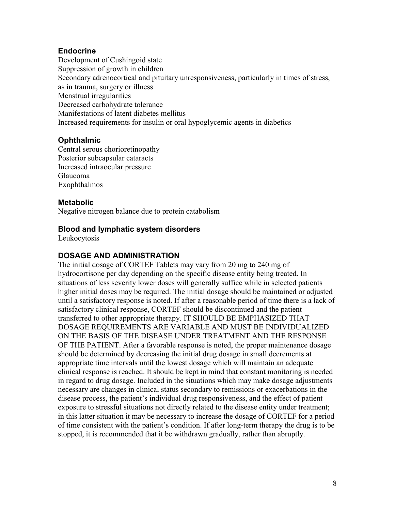#### **Endocrine**

Development of Cushingoid state Suppression of growth in children Secondary adrenocortical and pituitary unresponsiveness, particularly in times of stress, as in trauma, surgery or illness Menstrual irregularities Decreased carbohydrate tolerance Manifestations of latent diabetes mellitus Increased requirements for insulin or oral hypoglycemic agents in diabetics

## **Ophthalmic**

Central serous chorioretinopathy Posterior subcapsular cataracts Increased intraocular pressure Glaucoma Exophthalmos

## **Metabolic**

Negative nitrogen balance due to protein catabolism

## **Blood and lymphatic system disorders**

Leukocytosis

## **DOSAGE AND ADMINISTRATION**

The initial dosage of CORTEF Tablets may vary from 20 mg to 240 mg of hydrocortisone per day depending on the specific disease entity being treated. In situations of less severity lower doses will generally suffice while in selected patients higher initial doses may be required. The initial dosage should be maintained or adjusted until a satisfactory response is noted. If after a reasonable period of time there is a lack of satisfactory clinical response, CORTEF should be discontinued and the patient transferred to other appropriate therapy. IT SHOULD BE EMPHASIZED THAT DOSAGE REQUIREMENTS ARE VARIABLE AND MUST BE INDIVIDUALIZED ON THE BASIS OF THE DISEASE UNDER TREATMENT AND THE RESPONSE OF THE PATIENT. After a favorable response is noted, the proper maintenance dosage should be determined by decreasing the initial drug dosage in small decrements at appropriate time intervals until the lowest dosage which will maintain an adequate clinical response is reached. It should be kept in mind that constant monitoring is needed in regard to drug dosage. Included in the situations which may make dosage adjustments necessary are changes in clinical status secondary to remissions or exacerbations in the disease process, the patient's individual drug responsiveness, and the effect of patient exposure to stressful situations not directly related to the disease entity under treatment; in this latter situation it may be necessary to increase the dosage of CORTEF for a period of time consistent with the patient's condition. If after long-term therapy the drug is to be stopped, it is recommended that it be withdrawn gradually, rather than abruptly.